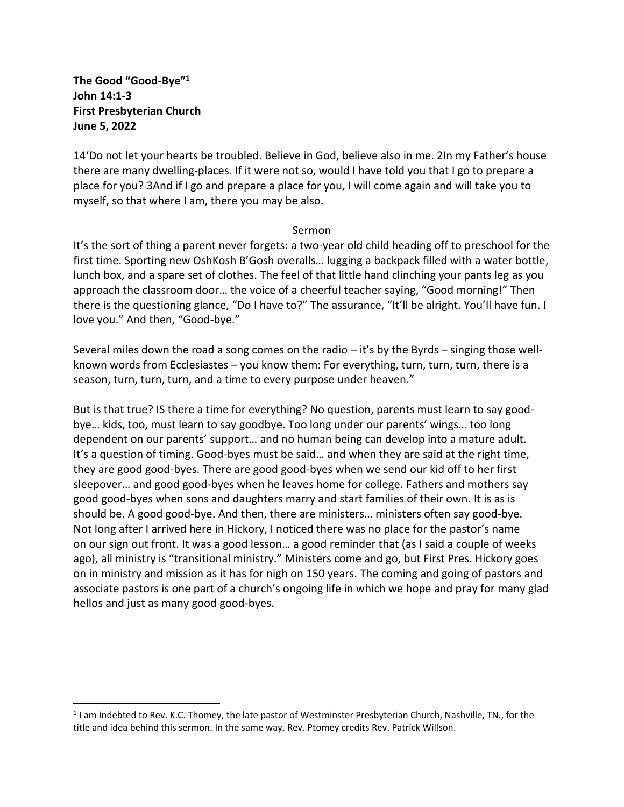**The Good "Good-Bye"<sup>1</sup> John 14:1-3 First Presbyterian Church June 5, 2022**

14'Do not let your hearts be troubled. Believe in God, believe also in me. 2In my Father's house there are many dwelling-places. If it were not so, would I have told you that I go to prepare a place for you? 3And if I go and prepare a place for you, I will come again and will take you to myself, so that where I am, there you may be also.

## Sermon

It's the sort of thing a parent never forgets: a two-year old child heading off to preschool for the first time. Sporting new OshKosh B'Gosh overalls… lugging a backpack filled with a water bottle, lunch box, and a spare set of clothes. The feel of that little hand clinching your pants leg as you approach the classroom door… the voice of a cheerful teacher saying, "Good morning!" Then there is the questioning glance, "Do I have to?" The assurance, "It'll be alright. You'll have fun. I love you." And then, "Good-bye."

Several miles down the road a song comes on the radio – it's by the Byrds – singing those wellknown words from Ecclesiastes – you know them: For everything, turn, turn, turn, there is a season, turn, turn, turn, and a time to every purpose under heaven."

But is that true? IS there a time for everything? No question, parents must learn to say goodbye… kids, too, must learn to say goodbye. Too long under our parents' wings… too long dependent on our parents' support… and no human being can develop into a mature adult. It's a question of timing. Good-byes must be said… and when they are said at the right time, they are good good-byes. There are good good-byes when we send our kid off to her first sleepover… and good good-byes when he leaves home for college. Fathers and mothers say good good-byes when sons and daughters marry and start families of their own. It is as is should be. A good good-bye. And then, there are ministers… ministers often say good-bye. Not long after I arrived here in Hickory, I noticed there was no place for the pastor's name on our sign out front. It was a good lesson… a good reminder that (as I said a couple of weeks ago), all ministry is "transitional ministry." Ministers come and go, but First Pres. Hickory goes on in ministry and mission as it has for nigh on 150 years. The coming and going of pastors and associate pastors is one part of a church's ongoing life in which we hope and pray for many glad hellos and just as many good good-byes.

 $1$ I am indebted to Rev. K.C. Thomey, the late pastor of Westminster Presbyterian Church, Nashville, TN., for the title and idea behind this sermon. In the same way, Rev. Ptomey credits Rev. Patrick Willson.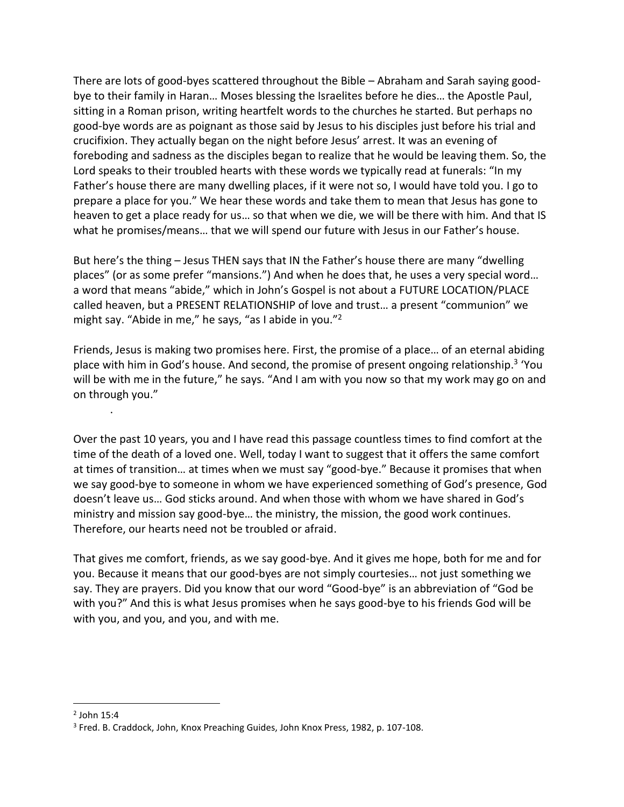There are lots of good-byes scattered throughout the Bible – Abraham and Sarah saying goodbye to their family in Haran… Moses blessing the Israelites before he dies… the Apostle Paul, sitting in a Roman prison, writing heartfelt words to the churches he started. But perhaps no good-bye words are as poignant as those said by Jesus to his disciples just before his trial and crucifixion. They actually began on the night before Jesus' arrest. It was an evening of foreboding and sadness as the disciples began to realize that he would be leaving them. So, the Lord speaks to their troubled hearts with these words we typically read at funerals: "In my Father's house there are many dwelling places, if it were not so, I would have told you. I go to prepare a place for you." We hear these words and take them to mean that Jesus has gone to heaven to get a place ready for us… so that when we die, we will be there with him. And that IS what he promises/means… that we will spend our future with Jesus in our Father's house.

But here's the thing – Jesus THEN says that IN the Father's house there are many "dwelling places" (or as some prefer "mansions.") And when he does that, he uses a very special word… a word that means "abide," which in John's Gospel is not about a FUTURE LOCATION/PLACE called heaven, but a PRESENT RELATIONSHIP of love and trust… a present "communion" we might say. "Abide in me," he says, "as I abide in you."<sup>2</sup>

Friends, Jesus is making two promises here. First, the promise of a place… of an eternal abiding place with him in God's house. And second, the promise of present ongoing relationship.<sup>3</sup> 'You will be with me in the future," he says. "And I am with you now so that my work may go on and on through you."

Over the past 10 years, you and I have read this passage countless times to find comfort at the time of the death of a loved one. Well, today I want to suggest that it offers the same comfort at times of transition… at times when we must say "good-bye." Because it promises that when we say good-bye to someone in whom we have experienced something of God's presence, God doesn't leave us… God sticks around. And when those with whom we have shared in God's ministry and mission say good-bye… the ministry, the mission, the good work continues. Therefore, our hearts need not be troubled or afraid.

That gives me comfort, friends, as we say good-bye. And it gives me hope, both for me and for you. Because it means that our good-byes are not simply courtesies… not just something we say. They are prayers. Did you know that our word "Good-bye" is an abbreviation of "God be with you?" And this is what Jesus promises when he says good-bye to his friends God will be with you, and you, and you, and with me.

.

 $<sup>2</sup>$  John 15:4</sup>

<sup>&</sup>lt;sup>3</sup> Fred. B. Craddock, John, Knox Preaching Guides, John Knox Press, 1982, p. 107-108.